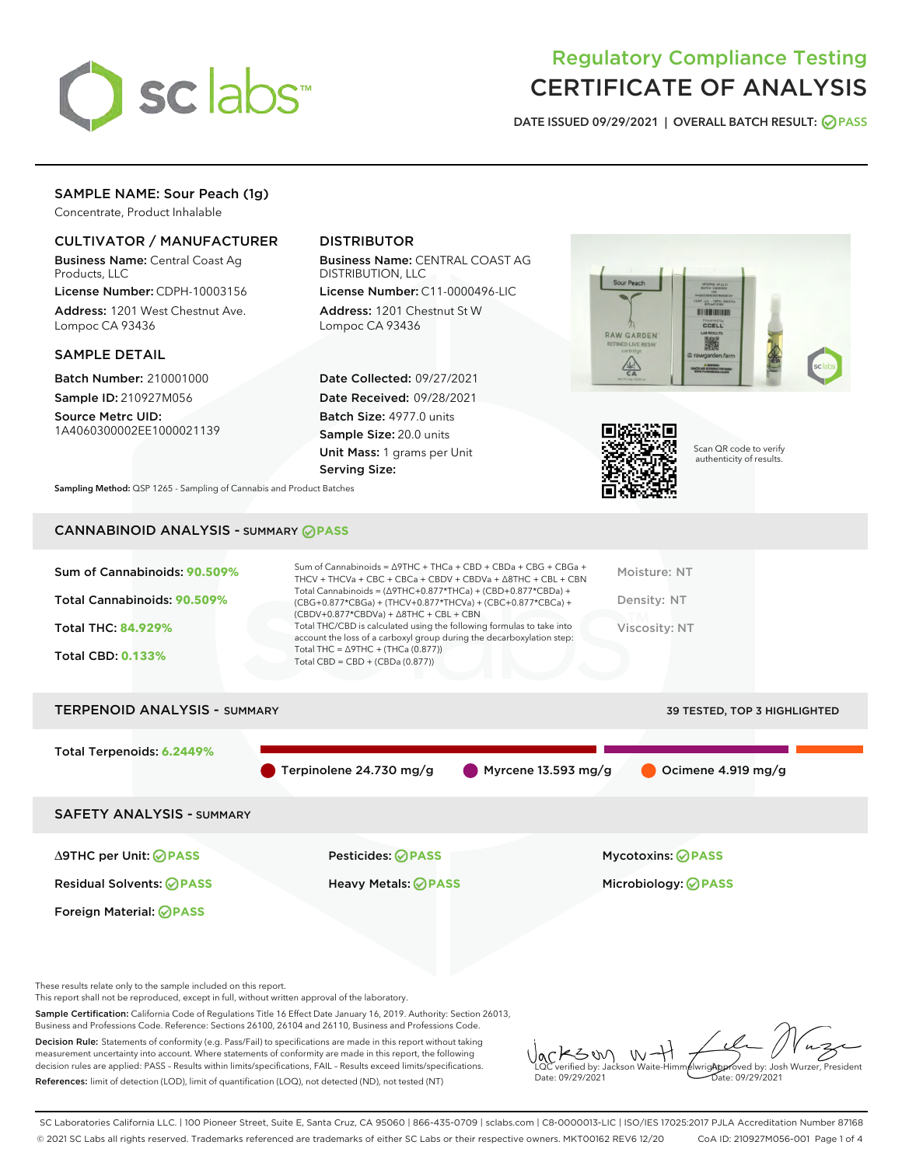

# Regulatory Compliance Testing CERTIFICATE OF ANALYSIS

DATE ISSUED 09/29/2021 | OVERALL BATCH RESULT: @ PASS

# SAMPLE NAME: Sour Peach (1g)

Concentrate, Product Inhalable

# CULTIVATOR / MANUFACTURER

Business Name: Central Coast Ag Products, LLC

License Number: CDPH-10003156 Address: 1201 West Chestnut Ave. Lompoc CA 93436

#### SAMPLE DETAIL

Batch Number: 210001000 Sample ID: 210927M056

Source Metrc UID: 1A4060300002EE1000021139

# DISTRIBUTOR

Business Name: CENTRAL COAST AG DISTRIBUTION, LLC

License Number: C11-0000496-LIC Address: 1201 Chestnut St W Lompoc CA 93436

Date Collected: 09/27/2021 Date Received: 09/28/2021 Batch Size: 4977.0 units Sample Size: 20.0 units Unit Mass: 1 grams per Unit Serving Size:





Scan QR code to verify authenticity of results.

Sampling Method: QSP 1265 - Sampling of Cannabis and Product Batches

# CANNABINOID ANALYSIS - SUMMARY **PASS**

| Sum of Cannabinoids: 90.509% | Sum of Cannabinoids = $\triangle$ 9THC + THCa + CBD + CBDa + CBG + CBGa +<br>THCV + THCVa + CBC + CBCa + CBDV + CBDVa + $\Delta$ 8THC + CBL + CBN                                    | Moisture: NT  |
|------------------------------|--------------------------------------------------------------------------------------------------------------------------------------------------------------------------------------|---------------|
| Total Cannabinoids: 90.509%  | Total Cannabinoids = $(\Delta$ 9THC+0.877*THCa) + (CBD+0.877*CBDa) +<br>(CBG+0.877*CBGa) + (THCV+0.877*THCVa) + (CBC+0.877*CBCa) +<br>$(CBDV+0.877*CBDVa) + \Delta 8THC + CBL + CBN$ | Density: NT   |
| <b>Total THC: 84.929%</b>    | Total THC/CBD is calculated using the following formulas to take into<br>account the loss of a carboxyl group during the decarboxylation step:                                       | Viscosity: NT |
| <b>Total CBD: 0.133%</b>     | Total THC = $\triangle$ 9THC + (THCa (0.877))<br>Total CBD = $CBD + (CBDa (0.877))$                                                                                                  |               |
|                              |                                                                                                                                                                                      |               |

# TERPENOID ANALYSIS - SUMMARY 39 TESTED, TOP 3 HIGHLIGHTED Total Terpenoids: **6.2449%** Terpinolene 24.730 mg/g Myrcene 13.593 mg/g Ocimene 4.919 mg/g SAFETY ANALYSIS - SUMMARY ∆9THC per Unit: **PASS** Pesticides: **PASS** Mycotoxins: **PASS**

Foreign Material: **PASS**

Residual Solvents: **PASS** Heavy Metals: **PASS** Microbiology: **PASS**

These results relate only to the sample included on this report.

This report shall not be reproduced, except in full, without written approval of the laboratory.

Sample Certification: California Code of Regulations Title 16 Effect Date January 16, 2019. Authority: Section 26013, Business and Professions Code. Reference: Sections 26100, 26104 and 26110, Business and Professions Code.

Decision Rule: Statements of conformity (e.g. Pass/Fail) to specifications are made in this report without taking measurement uncertainty into account. Where statements of conformity are made in this report, the following decision rules are applied: PASS – Results within limits/specifications, FAIL – Results exceed limits/specifications. References: limit of detection (LOD), limit of quantification (LOQ), not detected (ND), not tested (NT)

KSW  $W$ Approved by: Josh Wurzer, President LQC verified by: Jackson Waite-Himmelwright Date: 09/29/2021 Pate: 09/29/2021

SC Laboratories California LLC. | 100 Pioneer Street, Suite E, Santa Cruz, CA 95060 | 866-435-0709 | sclabs.com | C8-0000013-LIC | ISO/IES 17025:2017 PJLA Accreditation Number 87168 © 2021 SC Labs all rights reserved. Trademarks referenced are trademarks of either SC Labs or their respective owners. MKT00162 REV6 12/20 CoA ID: 210927M056-001 Page 1 of 4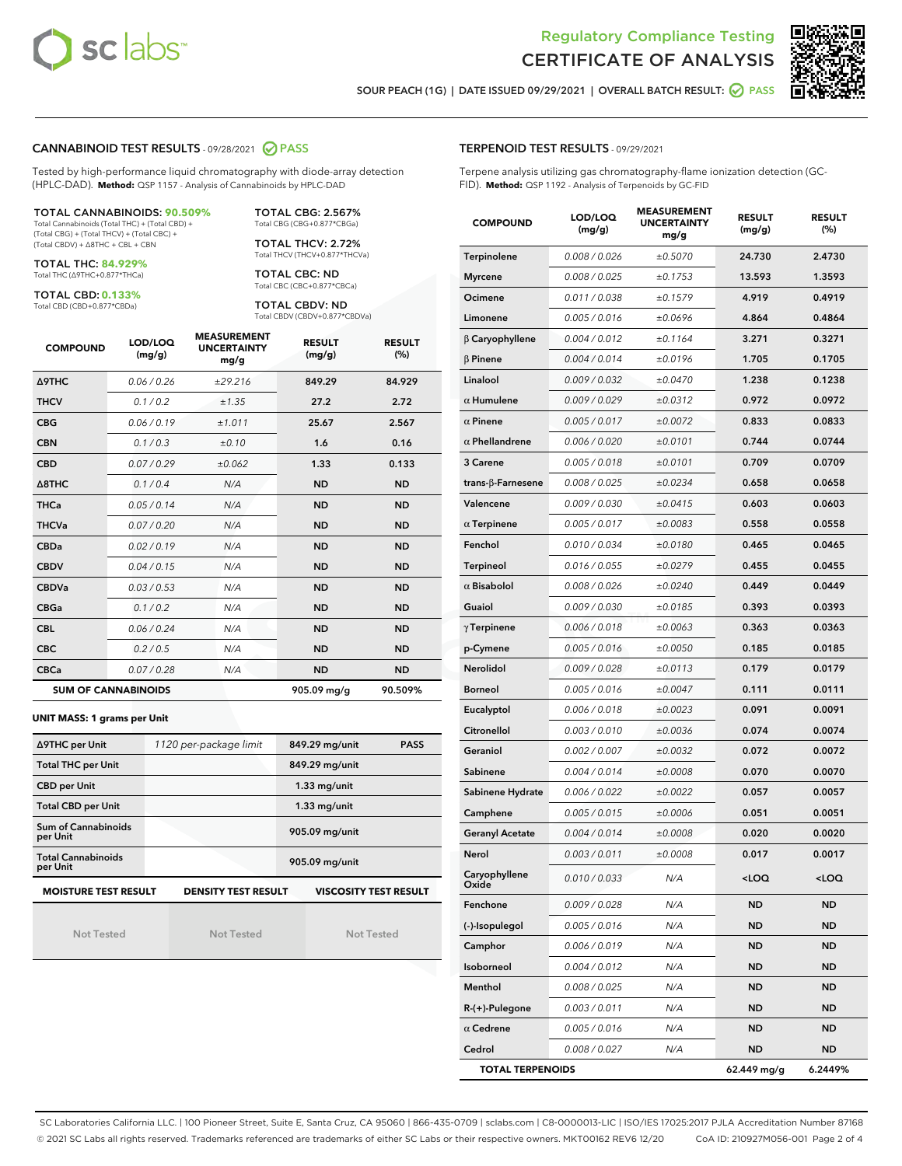



SOUR PEACH (1G) | DATE ISSUED 09/29/2021 | OVERALL BATCH RESULT:  $\bigcirc$  PASS

#### CANNABINOID TEST RESULTS - 09/28/2021 2 PASS

Tested by high-performance liquid chromatography with diode-array detection (HPLC-DAD). **Method:** QSP 1157 - Analysis of Cannabinoids by HPLC-DAD

#### TOTAL CANNABINOIDS: **90.509%** Total Cannabinoids (Total THC) + (Total CBD) +

(Total CBG) + (Total THCV) + (Total CBC) + (Total CBDV) + ∆8THC + CBL + CBN

TOTAL THC: **84.929%** Total THC (∆9THC+0.877\*THCa)

TOTAL CBD: **0.133%**

Total CBD (CBD+0.877\*CBDa)

TOTAL CBG: 2.567% Total CBG (CBG+0.877\*CBGa)

TOTAL THCV: 2.72% Total THCV (THCV+0.877\*THCVa)

TOTAL CBC: ND Total CBC (CBC+0.877\*CBCa)

TOTAL CBDV: ND Total CBDV (CBDV+0.877\*CBDVa)

| <b>COMPOUND</b>  | LOD/LOQ<br>(mg/g)          | <b>MEASUREMENT</b><br><b>UNCERTAINTY</b><br>mg/g | <b>RESULT</b><br>(mg/g) | <b>RESULT</b><br>(%) |
|------------------|----------------------------|--------------------------------------------------|-------------------------|----------------------|
| <b>A9THC</b>     | 0.06/0.26                  | ±29.216                                          | 849.29                  | 84.929               |
| <b>THCV</b>      | 0.1 / 0.2                  | ±1.35                                            | 27.2                    | 2.72                 |
| <b>CBG</b>       | 0.06/0.19                  | ±1.011                                           | 25.67                   | 2.567                |
| <b>CBN</b>       | 0.1/0.3                    | ±0.10                                            | 1.6                     | 0.16                 |
| <b>CBD</b>       | 0.07/0.29                  | ±0.062                                           | 1.33                    | 0.133                |
| $\triangle$ 8THC | 0.1 / 0.4                  | N/A                                              | <b>ND</b>               | <b>ND</b>            |
| <b>THCa</b>      | 0.05/0.14                  | N/A                                              | <b>ND</b>               | <b>ND</b>            |
| <b>THCVa</b>     | 0.07/0.20                  | N/A                                              | <b>ND</b>               | <b>ND</b>            |
| <b>CBDa</b>      | 0.02/0.19                  | N/A                                              | <b>ND</b>               | <b>ND</b>            |
| <b>CBDV</b>      | 0.04 / 0.15                | N/A                                              | <b>ND</b>               | <b>ND</b>            |
| <b>CBDVa</b>     | 0.03/0.53                  | N/A                                              | <b>ND</b>               | <b>ND</b>            |
| <b>CBGa</b>      | 0.1/0.2                    | N/A                                              | <b>ND</b>               | <b>ND</b>            |
| <b>CBL</b>       | 0.06 / 0.24                | N/A                                              | <b>ND</b>               | <b>ND</b>            |
| <b>CBC</b>       | 0.2 / 0.5                  | N/A                                              | <b>ND</b>               | <b>ND</b>            |
| <b>CBCa</b>      | 0.07/0.28                  | N/A                                              | <b>ND</b>               | <b>ND</b>            |
|                  | <b>SUM OF CANNABINOIDS</b> |                                                  | 905.09 mg/g             | 90.509%              |

#### **UNIT MASS: 1 grams per Unit**

| ∆9THC per Unit                        | 1120 per-package limit     | 849.29 mg/unit<br><b>PASS</b> |
|---------------------------------------|----------------------------|-------------------------------|
| <b>Total THC per Unit</b>             |                            | 849.29 mg/unit                |
| <b>CBD per Unit</b>                   |                            | $1.33$ mg/unit                |
| <b>Total CBD per Unit</b>             |                            | $1.33$ mg/unit                |
| Sum of Cannabinoids<br>per Unit       |                            | 905.09 mg/unit                |
| <b>Total Cannabinoids</b><br>per Unit |                            | 905.09 mg/unit                |
| <b>MOISTURE TEST RESULT</b>           | <b>DENSITY TEST RESULT</b> | <b>VISCOSITY TEST RESULT</b>  |

Not Tested

Not Tested

Not Tested

#### TERPENOID TEST RESULTS - 09/29/2021

Terpene analysis utilizing gas chromatography-flame ionization detection (GC-FID). **Method:** QSP 1192 - Analysis of Terpenoids by GC-FID

| <b>COMPOUND</b>           | LOD/LOQ<br>(mg/g) | <b>MEASUREMENT</b><br><b>UNCERTAINTY</b><br>mg/g | <b>RESULT</b><br>(mg/g)                          | <b>RESULT</b><br>(%) |
|---------------------------|-------------------|--------------------------------------------------|--------------------------------------------------|----------------------|
| Terpinolene               | 0.008 / 0.026     | ±0.5070                                          | 24.730                                           | 2.4730               |
| <b>Myrcene</b>            | 0.008 / 0.025     | ±0.1753                                          | 13.593                                           | 1.3593               |
| Ocimene                   | 0.011 / 0.038     | ±0.1579                                          | 4.919                                            | 0.4919               |
| Limonene                  | 0.005 / 0.016     | ±0.0696                                          | 4.864                                            | 0.4864               |
| $\beta$ Caryophyllene     | 0.004 / 0.012     | ±0.1164                                          | 3.271                                            | 0.3271               |
| $\beta$ Pinene            | 0.004 / 0.014     | ±0.0196                                          | 1.705                                            | 0.1705               |
| Linalool                  | 0.009 / 0.032     | ±0.0470                                          | 1.238                                            | 0.1238               |
| $\alpha$ Humulene         | 0.009/0.029       | ±0.0312                                          | 0.972                                            | 0.0972               |
| $\alpha$ Pinene           | 0.005 / 0.017     | ±0.0072                                          | 0.833                                            | 0.0833               |
| $\alpha$ Phellandrene     | 0.006 / 0.020     | ±0.0101                                          | 0.744                                            | 0.0744               |
| 3 Carene                  | 0.005 / 0.018     | ±0.0101                                          | 0.709                                            | 0.0709               |
| trans- $\beta$ -Farnesene | 0.008 / 0.025     | ±0.0234                                          | 0.658                                            | 0.0658               |
| Valencene                 | 0.009 / 0.030     | ±0.0415                                          | 0.603                                            | 0.0603               |
| $\alpha$ Terpinene        | 0.005 / 0.017     | ±0.0083                                          | 0.558                                            | 0.0558               |
| Fenchol                   | 0.010 / 0.034     | ±0.0180                                          | 0.465                                            | 0.0465               |
| <b>Terpineol</b>          | 0.016 / 0.055     | ±0.0279                                          | 0.455                                            | 0.0455               |
| $\alpha$ Bisabolol        | 0.008 / 0.026     | ±0.0240                                          | 0.449                                            | 0.0449               |
| Guaiol                    | 0.009 / 0.030     | ±0.0185                                          | 0.393                                            | 0.0393               |
| $\gamma$ Terpinene        | 0.006 / 0.018     | ±0.0063                                          | 0.363                                            | 0.0363               |
| p-Cymene                  | 0.005 / 0.016     | ±0.0050                                          | 0.185                                            | 0.0185               |
| Nerolidol                 | 0.009 / 0.028     | ±0.0113                                          | 0.179                                            | 0.0179               |
| <b>Borneol</b>            | 0.005 / 0.016     | ±0.0047                                          | 0.111                                            | 0.0111               |
| Eucalyptol                | 0.006 / 0.018     | ±0.0023                                          | 0.091                                            | 0.0091               |
| Citronellol               | 0.003 / 0.010     | ±0.0036                                          | 0.074                                            | 0.0074               |
| Geraniol                  | 0.002 / 0.007     | ±0.0032                                          | 0.072                                            | 0.0072               |
| Sabinene                  | 0.004 / 0.014     | ±0.0008                                          | 0.070                                            | 0.0070               |
| Sabinene Hydrate          | 0.006 / 0.022     | ±0.0022                                          | 0.057                                            | 0.0057               |
| Camphene                  | 0.005 / 0.015     | ±0.0006                                          | 0.051                                            | 0.0051               |
| <b>Geranyl Acetate</b>    | 0.004 / 0.014     | ±0.0008                                          | 0.020                                            | 0.0020               |
| Nerol                     | 0.003 / 0.011     | ±0.0008                                          | 0.017                                            | 0.0017               |
| Caryophyllene<br>Oxide    | 0.010 / 0.033     | N/A                                              | <loq< th=""><th><math>&lt;</math>LOQ</th></loq<> | $<$ LOQ              |
| Fenchone                  | 0.009 / 0.028     | N/A                                              | ND                                               | ND                   |
| (-)-Isopulegol            | 0.005 / 0.016     | N/A                                              | ND                                               | <b>ND</b>            |
| Camphor                   | 0.006 / 0.019     | N/A                                              | ND                                               | <b>ND</b>            |
| Isoborneol                | 0.004 / 0.012     | N/A                                              | ND                                               | ND                   |
| Menthol                   | 0.008 / 0.025     | N/A                                              | ND                                               | ND                   |
| R-(+)-Pulegone            | 0.003 / 0.011     | N/A                                              | ND                                               | <b>ND</b>            |
| $\alpha$ Cedrene          | 0.005 / 0.016     | N/A                                              | ND                                               | ND                   |
| Cedrol                    | 0.008 / 0.027     | N/A                                              | ND                                               | ND                   |
| <b>TOTAL TERPENOIDS</b>   |                   |                                                  | 62.449 mg/g                                      | 6.2449%              |

SC Laboratories California LLC. | 100 Pioneer Street, Suite E, Santa Cruz, CA 95060 | 866-435-0709 | sclabs.com | C8-0000013-LIC | ISO/IES 17025:2017 PJLA Accreditation Number 87168 © 2021 SC Labs all rights reserved. Trademarks referenced are trademarks of either SC Labs or their respective owners. MKT00162 REV6 12/20 CoA ID: 210927M056-001 Page 2 of 4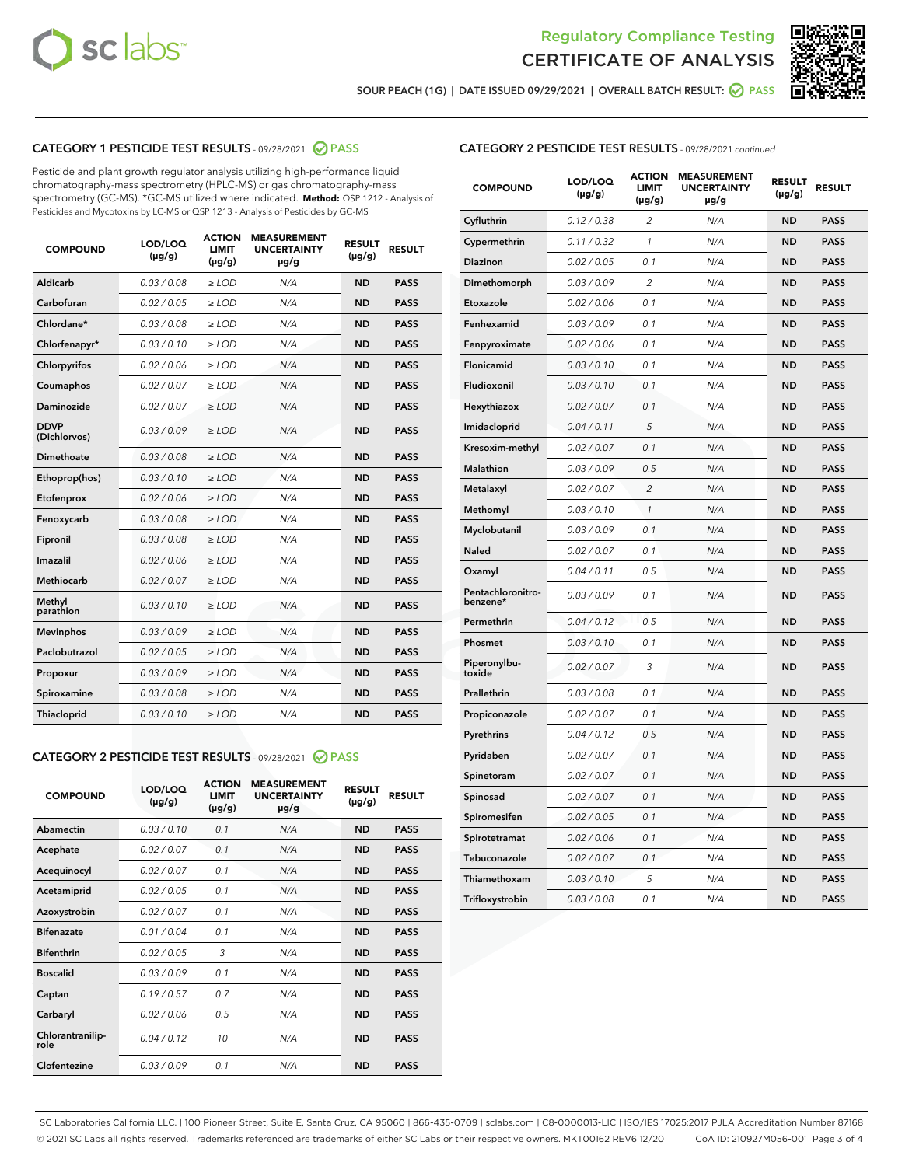



SOUR PEACH (1G) | DATE ISSUED 09/29/2021 | OVERALL BATCH RESULT:  $\bigcirc$  PASS

# CATEGORY 1 PESTICIDE TEST RESULTS - 09/28/2021 2 PASS

Pesticide and plant growth regulator analysis utilizing high-performance liquid chromatography-mass spectrometry (HPLC-MS) or gas chromatography-mass spectrometry (GC-MS). \*GC-MS utilized where indicated. **Method:** QSP 1212 - Analysis of Pesticides and Mycotoxins by LC-MS or QSP 1213 - Analysis of Pesticides by GC-MS

| <b>COMPOUND</b>             | LOD/LOQ<br>$(\mu g/g)$ | <b>ACTION</b><br><b>LIMIT</b><br>$(\mu g/g)$ | <b>MEASUREMENT</b><br><b>UNCERTAINTY</b><br>$\mu$ g/g | <b>RESULT</b><br>$(\mu g/g)$ | <b>RESULT</b> |
|-----------------------------|------------------------|----------------------------------------------|-------------------------------------------------------|------------------------------|---------------|
| Aldicarb                    | 0.03 / 0.08            | $\ge$ LOD                                    | N/A                                                   | <b>ND</b>                    | <b>PASS</b>   |
| Carbofuran                  | 0.02/0.05              | $>$ LOD                                      | N/A                                                   | <b>ND</b>                    | <b>PASS</b>   |
| Chlordane*                  | 0.03 / 0.08            | $\ge$ LOD                                    | N/A                                                   | <b>ND</b>                    | <b>PASS</b>   |
| Chlorfenapyr*               | 0.03/0.10              | $\ge$ LOD                                    | N/A                                                   | <b>ND</b>                    | <b>PASS</b>   |
| Chlorpyrifos                | 0.02 / 0.06            | $\ge$ LOD                                    | N/A                                                   | <b>ND</b>                    | <b>PASS</b>   |
| Coumaphos                   | 0.02 / 0.07            | $>$ LOD                                      | N/A                                                   | <b>ND</b>                    | <b>PASS</b>   |
| Daminozide                  | 0.02 / 0.07            | $\ge$ LOD                                    | N/A                                                   | <b>ND</b>                    | <b>PASS</b>   |
| <b>DDVP</b><br>(Dichlorvos) | 0.03/0.09              | $\ge$ LOD                                    | N/A                                                   | <b>ND</b>                    | <b>PASS</b>   |
| <b>Dimethoate</b>           | 0.03/0.08              | $\ge$ LOD                                    | N/A                                                   | <b>ND</b>                    | <b>PASS</b>   |
| Ethoprop(hos)               | 0.03/0.10              | $>$ LOD                                      | N/A                                                   | <b>ND</b>                    | <b>PASS</b>   |
| Etofenprox                  | 0.02 / 0.06            | $\ge$ LOD                                    | N/A                                                   | <b>ND</b>                    | <b>PASS</b>   |
| Fenoxycarb                  | 0.03 / 0.08            | $>$ LOD                                      | N/A                                                   | <b>ND</b>                    | <b>PASS</b>   |
| Fipronil                    | 0.03/0.08              | $\ge$ LOD                                    | N/A                                                   | <b>ND</b>                    | <b>PASS</b>   |
| Imazalil                    | 0.02 / 0.06            | $\ge$ LOD                                    | N/A                                                   | <b>ND</b>                    | <b>PASS</b>   |
| Methiocarb                  | 0.02 / 0.07            | $\ge$ LOD                                    | N/A                                                   | <b>ND</b>                    | <b>PASS</b>   |
| Methyl<br>parathion         | 0.03/0.10              | $>$ LOD                                      | N/A                                                   | <b>ND</b>                    | <b>PASS</b>   |
| <b>Mevinphos</b>            | 0.03/0.09              | $>$ LOD                                      | N/A                                                   | <b>ND</b>                    | <b>PASS</b>   |
| Paclobutrazol               | 0.02 / 0.05            | $\ge$ LOD                                    | N/A                                                   | <b>ND</b>                    | <b>PASS</b>   |
| Propoxur                    | 0.03/0.09              | $\ge$ LOD                                    | N/A                                                   | <b>ND</b>                    | <b>PASS</b>   |
| Spiroxamine                 | 0.03 / 0.08            | $\ge$ LOD                                    | N/A                                                   | <b>ND</b>                    | <b>PASS</b>   |
| <b>Thiacloprid</b>          | 0.03/0.10              | $\ge$ LOD                                    | N/A                                                   | <b>ND</b>                    | <b>PASS</b>   |
|                             |                        |                                              |                                                       |                              |               |

# CATEGORY 2 PESTICIDE TEST RESULTS - 09/28/2021 @ PASS

| <b>COMPOUND</b>          | LOD/LOO<br>$(\mu g/g)$ | <b>ACTION</b><br>LIMIT<br>$(\mu g/g)$ | <b>MEASUREMENT</b><br><b>UNCERTAINTY</b><br>$\mu$ g/g | <b>RESULT</b><br>$(\mu g/g)$ | <b>RESULT</b> |  |
|--------------------------|------------------------|---------------------------------------|-------------------------------------------------------|------------------------------|---------------|--|
| Abamectin                | 0.03/0.10              | 0.1                                   | N/A                                                   | <b>ND</b>                    | <b>PASS</b>   |  |
| Acephate                 | 0.02/0.07              | 0.1                                   | N/A                                                   | <b>ND</b>                    | <b>PASS</b>   |  |
| Acequinocyl              | 0.02/0.07              | 0.1                                   | N/A                                                   | <b>ND</b>                    | <b>PASS</b>   |  |
| Acetamiprid              | 0.02/0.05              | 0.1                                   | N/A                                                   | <b>ND</b>                    | <b>PASS</b>   |  |
| Azoxystrobin             | 0.02/0.07              | 0.1                                   | N/A                                                   | <b>ND</b>                    | <b>PASS</b>   |  |
| <b>Bifenazate</b>        | 0.01/0.04              | 0.1                                   | N/A                                                   | <b>ND</b>                    | <b>PASS</b>   |  |
| <b>Bifenthrin</b>        | 0.02/0.05              | 3                                     | N/A                                                   | <b>ND</b>                    | <b>PASS</b>   |  |
| <b>Boscalid</b>          | 0.03/0.09              | 0.1                                   | N/A                                                   | <b>ND</b>                    | <b>PASS</b>   |  |
| Captan                   | 0.19/0.57              | 0.7                                   | N/A                                                   | <b>ND</b>                    | <b>PASS</b>   |  |
| Carbaryl                 | 0.02/0.06              | 0.5                                   | N/A                                                   | <b>ND</b>                    | <b>PASS</b>   |  |
| Chlorantranilip-<br>role | 0.04/0.12              | 10                                    | N/A                                                   | <b>ND</b>                    | <b>PASS</b>   |  |
| Clofentezine             | 0.03/0.09              | 0.1                                   | N/A                                                   | <b>ND</b>                    | <b>PASS</b>   |  |

### CATEGORY 2 PESTICIDE TEST RESULTS - 09/28/2021 continued

| <b>COMPOUND</b>               | LOD/LOQ<br>(µg/g) | <b>ACTION</b><br><b>LIMIT</b><br>$(\mu g/g)$ | <b>MEASUREMENT</b><br><b>UNCERTAINTY</b><br>µg/g | <b>RESULT</b><br>(µg/g) | <b>RESULT</b> |
|-------------------------------|-------------------|----------------------------------------------|--------------------------------------------------|-------------------------|---------------|
| Cyfluthrin                    | 0.12 / 0.38       | $\overline{c}$                               | N/A                                              | <b>ND</b>               | <b>PASS</b>   |
| Cypermethrin                  | 0.11 / 0.32       | 1                                            | N/A                                              | ND                      | PASS          |
| <b>Diazinon</b>               | 0.02 / 0.05       | 0.1                                          | N/A                                              | <b>ND</b>               | <b>PASS</b>   |
| Dimethomorph                  | 0.03 / 0.09       | 2                                            | N/A                                              | ND                      | PASS          |
| Etoxazole                     | 0.02 / 0.06       | 0.1                                          | N/A                                              | ND                      | PASS          |
| Fenhexamid                    | 0.03 / 0.09       | 0.1                                          | N/A                                              | <b>ND</b>               | <b>PASS</b>   |
| Fenpyroximate                 | 0.02 / 0.06       | 0.1                                          | N/A                                              | <b>ND</b>               | <b>PASS</b>   |
| Flonicamid                    | 0.03 / 0.10       | 0.1                                          | N/A                                              | <b>ND</b>               | <b>PASS</b>   |
| Fludioxonil                   | 0.03 / 0.10       | 0.1                                          | N/A                                              | <b>ND</b>               | <b>PASS</b>   |
| Hexythiazox                   | 0.02 / 0.07       | 0.1                                          | N/A                                              | <b>ND</b>               | <b>PASS</b>   |
| Imidacloprid                  | 0.04 / 0.11       | 5                                            | N/A                                              | <b>ND</b>               | <b>PASS</b>   |
| Kresoxim-methyl               | 0.02 / 0.07       | 0.1                                          | N/A                                              | ND                      | <b>PASS</b>   |
| Malathion                     | 0.03 / 0.09       | 0.5                                          | N/A                                              | <b>ND</b>               | <b>PASS</b>   |
| Metalaxyl                     | 0.02 / 0.07       | $\overline{c}$                               | N/A                                              | <b>ND</b>               | <b>PASS</b>   |
| Methomyl                      | 0.03 / 0.10       | $\mathcal{I}$                                | N/A                                              | ND                      | PASS          |
| Myclobutanil                  | 0.03 / 0.09       | 0.1                                          | N/A                                              | <b>ND</b>               | <b>PASS</b>   |
| Naled                         | 0.02 / 0.07       | 0.1                                          | N/A                                              | <b>ND</b>               | <b>PASS</b>   |
| Oxamyl                        | 0.04 / 0.11       | 0.5                                          | N/A                                              | ND                      | <b>PASS</b>   |
| Pentachloronitro-<br>benzene* | 0.03 / 0.09       | 0.1                                          | N/A                                              | <b>ND</b>               | <b>PASS</b>   |
| Permethrin                    | 0.04 / 0.12       | 0.5                                          | N/A                                              | <b>ND</b>               | <b>PASS</b>   |
| Phosmet                       | 0.03 / 0.10       | 0.1                                          | N/A                                              | ND                      | <b>PASS</b>   |
| Piperonylbu-<br>toxide        | 0.02 / 0.07       | 3                                            | N/A                                              | <b>ND</b>               | <b>PASS</b>   |
| Prallethrin                   | 0.03 / 0.08       | 0.1                                          | N/A                                              | <b>ND</b>               | <b>PASS</b>   |
| Propiconazole                 | 0.02 / 0.07       | 0.1                                          | N/A                                              | <b>ND</b>               | <b>PASS</b>   |
| Pyrethrins                    | 0.04 / 0.12       | 0.5                                          | N/A                                              | <b>ND</b>               | PASS          |
| Pyridaben                     | 0.02 / 0.07       | 0.1                                          | N/A                                              | <b>ND</b>               | <b>PASS</b>   |
| Spinetoram                    | 0.02 / 0.07       | 0.1                                          | N/A                                              | <b>ND</b>               | <b>PASS</b>   |
| Spinosad                      | 0.02 / 0.07       | 0.1                                          | N/A                                              | ND                      | PASS          |
| Spiromesifen                  | 0.02 / 0.05       | 0.1                                          | N/A                                              | <b>ND</b>               | <b>PASS</b>   |
| Spirotetramat                 | 0.02 / 0.06       | 0.1                                          | N/A                                              | <b>ND</b>               | <b>PASS</b>   |
| Tebuconazole                  | 0.02 / 0.07       | 0.1                                          | N/A                                              | ND                      | <b>PASS</b>   |
| Thiamethoxam                  | 0.03 / 0.10       | 5                                            | N/A                                              | <b>ND</b>               | <b>PASS</b>   |
| Trifloxystrobin               | 0.03 / 0.08       | 0.1                                          | N/A                                              | <b>ND</b>               | <b>PASS</b>   |

SC Laboratories California LLC. | 100 Pioneer Street, Suite E, Santa Cruz, CA 95060 | 866-435-0709 | sclabs.com | C8-0000013-LIC | ISO/IES 17025:2017 PJLA Accreditation Number 87168 © 2021 SC Labs all rights reserved. Trademarks referenced are trademarks of either SC Labs or their respective owners. MKT00162 REV6 12/20 CoA ID: 210927M056-001 Page 3 of 4